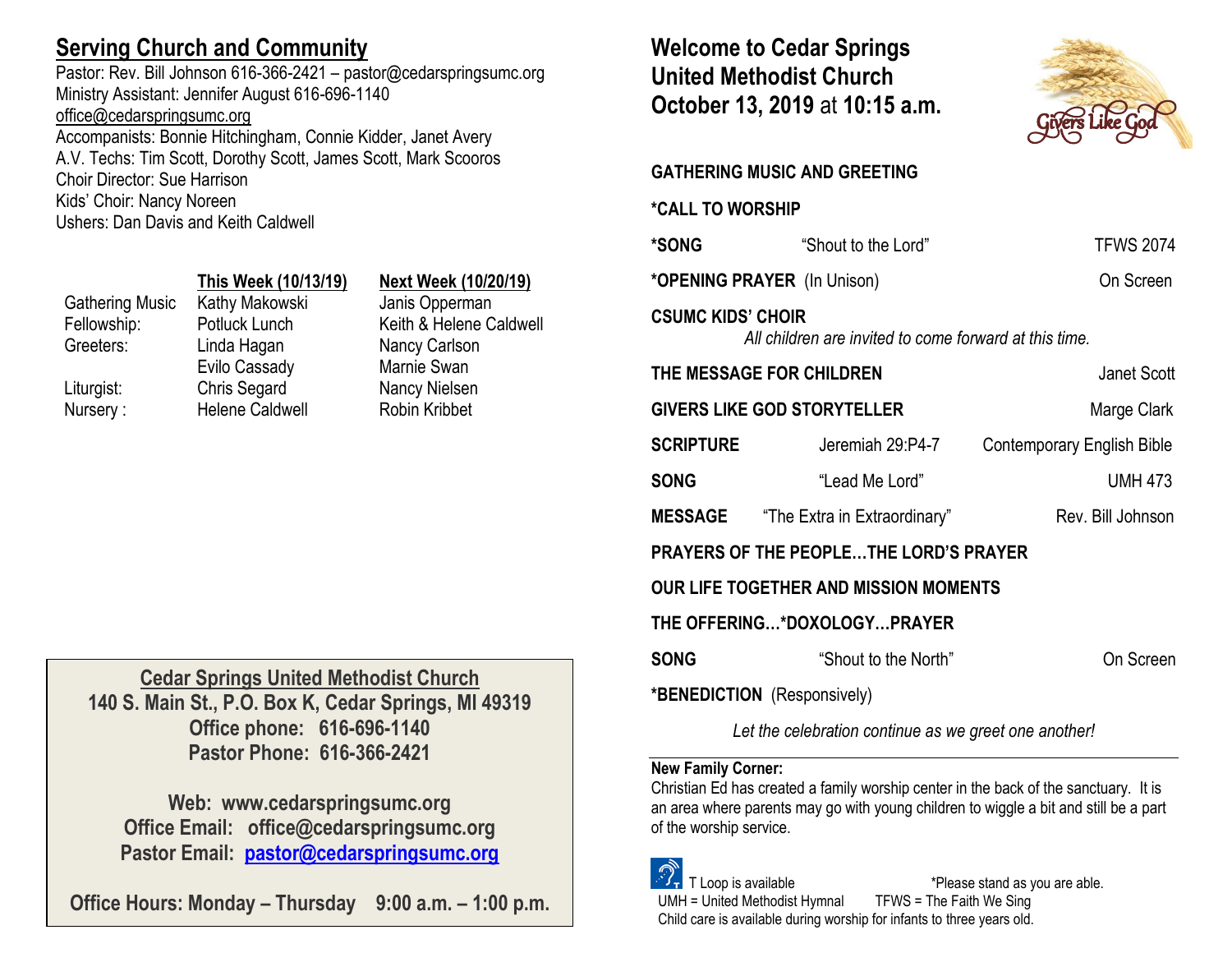## **Serving Church and Community**

Pastor: Rev. Bill Johnson 616-366-2421 – pastor@cedarspringsumc.org Ministry Assistant: Jennifer August 616-696-1140 [office@cedarspringsumc.org](mailto:office@cedarspringsumc.org)

Accompanists: Bonnie Hitchingham, Connie Kidder, Janet Avery A.V. Techs: Tim Scott, Dorothy Scott, James Scott, Mark Scooros Choir Director: Sue Harrison Kids' Choir: Nancy Noreen Ushers: Dan Davis and Keith Caldwell

## **This Week (10/13/19) Next Week (10/20/19)**

Gathering Music Kathy Makowski Janis Opperman Fellowship: Potluck Lunch Keith & Helene Caldwell Greeters: Linda Hagan Liturgist: Chris Segard Nancy Nielsen Nursery : Helene Caldwell Robin Kribbet

Evilo Cassady

Nancy Carlson Marnie Swan

**Cedar Springs United Methodist Church 140 S. Main St., P.O. Box K, Cedar Springs, MI 49319 Office phone: 616-696-1140 Pastor Phone: 616-366-2421**

**Web: www.cedarspringsumc.org Office Email: office@cedarspringsumc.org Pastor Email: [pastor@cedarspringsumc.org](mailto:pastor@cedarspringsumc.org)**

**Office Hours: Monday – Thursday 9:00 a.m. – 1:00 p.m.**

**Welcome to Cedar Springs United Methodist Church October 13, 2019** at **10:15 a.m.** 



# **GATHERING MUSIC AND GREETING \*CALL TO WORSHIP \*SONG** "Shout to the Lord" TFWS 2074 **\*OPENING PRAYER** (In Unison) On Screen **CSUMC KIDS' CHOIR** *All children are invited to come forward at this time.* **THE MESSAGE FOR CHILDREN Janet Scott GIVERS LIKE GOD STORYTELLER** Marge Clark **SCRIPTURE** Jeremiah 29:P4-7 Contemporary English Bible **SONG** "Lead Me Lord" UMH 473 **MESSAGE** "The Extra in Extraordinary" Rev. Bill Johnson **PRAYERS OF THE PEOPLE…THE LORD'S PRAYER OUR LIFE TOGETHER AND MISSION MOMENTS THE OFFERING…\*DOXOLOGY…PRAYER SONG** "Shout to the North" On Screen **\*BENEDICTION** (Responsively)

*Let the celebration continue as we greet one another!*

## **New Family Corner:**

Christian Ed has created a family worship center in the back of the sanctuary. It is an area where parents may go with young children to wiggle a bit and still be a part of the worship service.

 T Loop is available \*Please stand as you are able. UMH = United Methodist Hymnal TFWS = The Faith We Sing Child care is available during worship for infants to three years old.